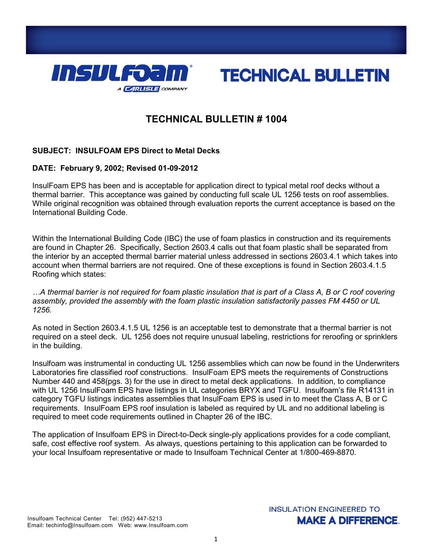



# **TECHNICAL BULLETIN # 1004**

## **SUBJECT: INSULFOAM EPS Direct to Metal Decks**

### **DATE: February 9, 2002; Revised 01-09-2012**

InsulFoam EPS has been and is acceptable for application direct to typical metal roof decks without a thermal barrier. This acceptance was gained by conducting full scale UL 1256 tests on roof assemblies. While original recognition was obtained through evaluation reports the current acceptance is based on the International Building Code.

Within the International Building Code (IBC) the use of foam plastics in construction and its requirements are found in Chapter 26. Specifically, Section 2603.4 calls out that foam plastic shall be separated from the interior by an accepted thermal barrier material unless addressed in sections 2603.4.1 which takes into account when thermal barriers are not required. One of these exceptions is found in Section 2603.4.1.5 Roofing which states:

*…A thermal barrier is not required for foam plastic insulation that is part of a Class A, B or C roof covering assembly, provided the assembly with the foam plastic insulation satisfactorily passes FM 4450 or UL 1256.*

As noted in Section 2603.4.1.5 UL 1256 is an acceptable test to demonstrate that a thermal barrier is not required on a steel deck. UL 1256 does not require unusual labeling, restrictions for reroofing or sprinklers in the building.

Insulfoam was instrumental in conducting UL 1256 assemblies which can now be found in the Underwriters Laboratories fire classified roof constructions. InsulFoam EPS meets the requirements of Constructions Number 440 and 458(pgs. 3) for the use in direct to metal deck applications. In addition, to compliance with UL 1256 InsulFoam EPS have listings in UL categories BRYX and TGFU. Insulfoam's file R14131 in category TGFU listings indicates assemblies that InsulFoam EPS is used in to meet the Class A, B or C requirements. InsulFoam EPS roof insulation is labeled as required by UL and no additional labeling is required to meet code requirements outlined in Chapter 26 of the IBC.

The application of Insulfoam EPS in Direct-to-Deck single-ply applications provides for a code compliant, safe, cost effective roof system. As always, questions pertaining to this application can be forwarded to your local Insulfoam representative or made to Insulfoam Technical Center at 1/800-469-8870.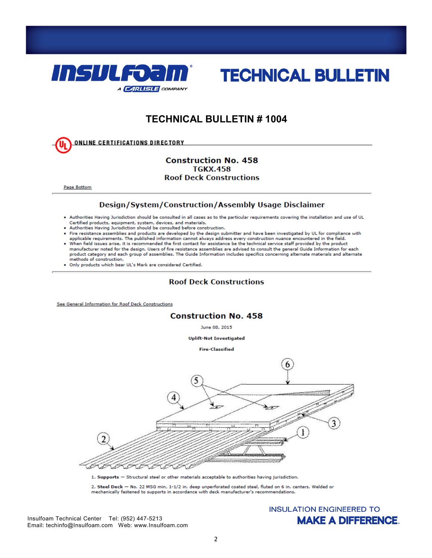



# **TECHNICAL BULLETIN #1004**

**ONLINE CERTIFICATIONS DIRECTORY** 

#### **Construction No. 458 TGKX.458 Roof Deck Constructions**

Page Bottom

#### Design/System/Construction/Assembly Usage Disclaimer

- . Authorities Having Jurisdiction should be consulted in all cases as to the particular requirements covering the installation and use of UL Certified products, equipment, system, devices, and materials.
- Authorities Having Jurisdiction should be consulted before construction.
- 
- Fire resistance assemblies and products are developed by the design submitter and have been investigated by UL for compliance with<br>applicable requirements. The published information cannot always address every constructi When field issues arise, it is recommended the first contact for assistance be the technical service staff provided by the product
- manufacturer noted for the design. Users of fire resistance assemblies are advised to consult the general Guide Information for each product category and each group of assemblies. The Guide Information includes specifics concerning alternate materials and alternate methods of construction.
- . Only products which bear UL's Mark are considered Certified.

#### **Roof Deck Constructions**

See General Information for Roof Deck Constructions



2. Steel Deck - No. 22 MSG min, 1-1/2 in, deep unperforated coated steel, fluted on 6 in, centers, Welded or mechanically fastened to supports in accordance with deck manufacturer's recommendations.

Insulfoam Technical Center Tel: (952) 447-5213 Email: techinfo@Insulfoam.com Web: www.Insulfoam.com

## **INSULATION ENGINEERED TO MAKE A DIFFERENCE.**